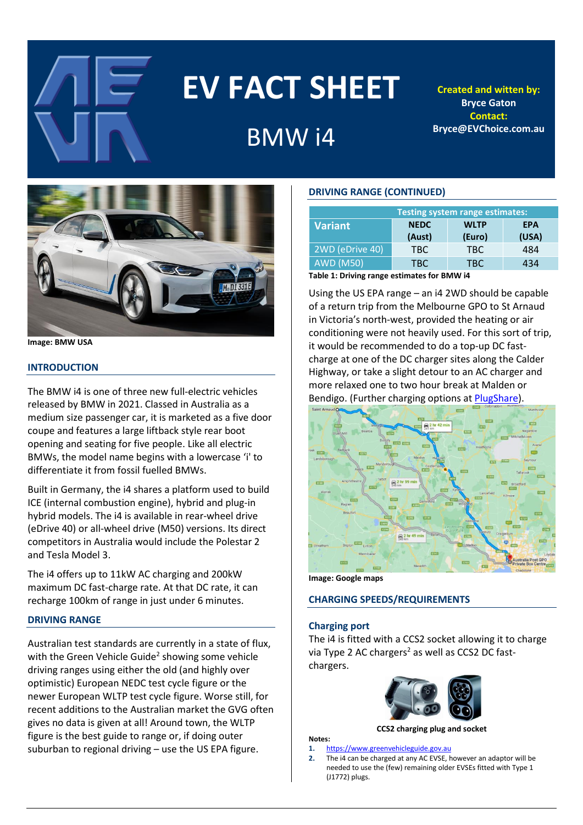

# **EV FACT SHEET**

# BMW i4

**Created and witten by: Bryce Gaton Contact: Bryce@EVChoice.com.au**



#### **Image: BMW USA**

#### **INTRODUCTION**

The BMW i4 is one of three new full-electric vehicles released by BMW in 2021. Classed in Australia as a medium size passenger car, it is marketed as a five door coupe and features a large liftback style rear boot opening and seating for five people. Like all electric BMWs, the model name begins with a lowercase 'i' to differentiate it from fossil fuelled BMWs.

Built in Germany, the i4 shares a platform used to build ICE (internal combustion engine), hybrid and plug-in hybrid models. The i4 is available in rear-wheel drive (eDrive 40) or all-wheel drive (M50) versions. Its direct competitors in Australia would include the Polestar 2 and Tesla Model 3.

The i4 offers up to 11kW AC charging and 200kW maximum DC fast-charge rate. At that DC rate, it can recharge 100km of range in just under 6 minutes.

# **DRIVING RANGE**

Australian test standards are currently in a state of flux, with the Green Vehicle Guide<sup>2</sup> showing some vehicle driving ranges using either the old (and highly over optimistic) European NEDC test cycle figure or the newer European WLTP test cycle figure. Worse still, for recent additions to the Australian market the GVG often gives no data is given at all! Around town, the WLTP figure is the best guide to range or, if doing outer suburban to regional driving – use the US EPA figure.

# **DRIVING RANGE (CONTINUED)**

| <b>Testing system range estimates:</b> |             |             |            |  |  |
|----------------------------------------|-------------|-------------|------------|--|--|
| <b>Variant</b>                         | <b>NEDC</b> | <b>WLTP</b> | <b>EPA</b> |  |  |
|                                        | (Aust)      | (Euro)      | (USA)      |  |  |
| 2WD (eDrive 40)                        | TBC.        | TBC.        | 484        |  |  |
| <b>AWD (M50)</b>                       | TRC         | TBC.        | 434        |  |  |

**Table 1: Driving range estimates for BMW i4**

Using the US EPA range – an i4 2WD should be capable of a return trip from the Melbourne GPO to St Arnaud in Victoria's north-west, provided the heating or air conditioning were not heavily used. For this sort of trip, it would be recommended to do a top-up DC fastcharge at one of the DC charger sites along the Calder Highway, or take a slight detour to an AC charger and more relaxed one to two hour break at Malden or Bendigo. (Further charging options at [PlugShare\)](https://www.plugshare.com/).



**Image: Google maps**

#### **CHARGING SPEEDS/REQUIREMENTS**

#### **Charging port**

**Notes:**

The i4 is fitted with a CCS2 socket allowing it to charge via Type 2 AC chargers<sup>2</sup> as well as CCS2 DC fastchargers.



**CCS2 charging plug and socket**

#### **1.** [https://www.greenvehicleguide.gov.au](https://www.greenvehicleguide.gov.au/)

**2.** The i4 can be charged at any AC EVSE, however an adaptor will be needed to use the (few) remaining older EVSEs fitted with Type 1 (J1772) plugs.